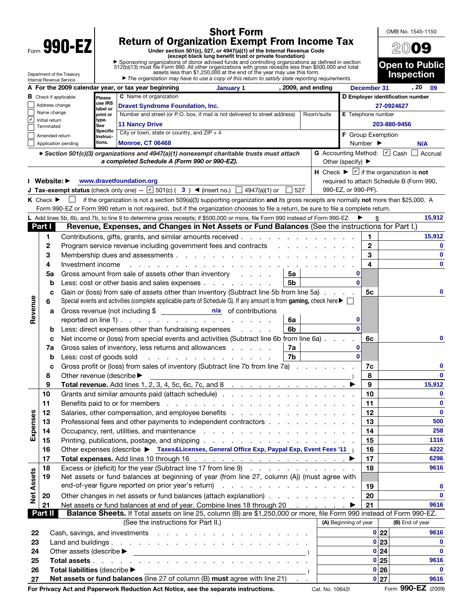| <b>Short Form</b>                                                                                                                                                                                                                                            |                                                                                        |                                                                                                                                           |                                                                                              |                                                                                                                                                                                                                                                                       |                                          |                                                | OMB No. 1545-1150                                                            |                    |  |  |  |
|--------------------------------------------------------------------------------------------------------------------------------------------------------------------------------------------------------------------------------------------------------------|----------------------------------------------------------------------------------------|-------------------------------------------------------------------------------------------------------------------------------------------|----------------------------------------------------------------------------------------------|-----------------------------------------------------------------------------------------------------------------------------------------------------------------------------------------------------------------------------------------------------------------------|------------------------------------------|------------------------------------------------|------------------------------------------------------------------------------|--------------------|--|--|--|
| 990-EZ                                                                                                                                                                                                                                                       |                                                                                        |                                                                                                                                           |                                                                                              |                                                                                                                                                                                                                                                                       |                                          |                                                |                                                                              |                    |  |  |  |
|                                                                                                                                                                                                                                                              |                                                                                        |                                                                                                                                           |                                                                                              |                                                                                                                                                                                                                                                                       | 2009                                     |                                                |                                                                              |                    |  |  |  |
|                                                                                                                                                                                                                                                              |                                                                                        |                                                                                                                                           |                                                                                              | (except black lung benefit trust or private foundation)                                                                                                                                                                                                               |                                          | <b>Open to Public</b>                          |                                                                              |                    |  |  |  |
| ▶ Sponsoring organizations of donor advised funds and controlling organizations as defined in section 512(b)(13) must file Form 990. All other organizations with gross receipts less than \$500,000 and total assets less tha<br>Department of the Treasury |                                                                                        |                                                                                                                                           |                                                                                              |                                                                                                                                                                                                                                                                       |                                          |                                                |                                                                              | <b>Inspection</b>  |  |  |  |
|                                                                                                                                                                                                                                                              |                                                                                        | Internal Revenue Service                                                                                                                  |                                                                                              | The organization may have to use a copy of this return to satisfy state reporting requirements.                                                                                                                                                                       |                                          |                                                |                                                                              | . 20<br>- 09       |  |  |  |
|                                                                                                                                                                                                                                                              | A For the 2009 calendar year, or tax year beginning<br>, 2009, and ending<br>January 1 |                                                                                                                                           |                                                                                              |                                                                                                                                                                                                                                                                       |                                          | December 31                                    |                                                                              |                    |  |  |  |
|                                                                                                                                                                                                                                                              |                                                                                        | C Name of organization<br><b>B</b> Check if applicable:<br>Please<br>use IRS<br>Address change<br><b>Dravet Syndrome Foundation, Inc.</b> |                                                                                              |                                                                                                                                                                                                                                                                       |                                          | D Employer identification number<br>27-0924627 |                                                                              |                    |  |  |  |
|                                                                                                                                                                                                                                                              |                                                                                        | Name change                                                                                                                               | label or<br>print or                                                                         | Number and street (or P.O. box, if mail is not delivered to street address)<br>Room/suite                                                                                                                                                                             |                                          | <b>E</b> Telephone number                      |                                                                              |                    |  |  |  |
| lv                                                                                                                                                                                                                                                           |                                                                                        | Initial return<br>type.<br><b>11 Nancy Drive</b><br>See<br>Terminated                                                                     |                                                                                              |                                                                                                                                                                                                                                                                       |                                          |                                                |                                                                              | 203-880-9456       |  |  |  |
|                                                                                                                                                                                                                                                              |                                                                                        | Amended return                                                                                                                            | Specific<br>Instruc-                                                                         | City or town, state or country, and $ZIP + 4$                                                                                                                                                                                                                         |                                          | F Group Exemption                              |                                                                              |                    |  |  |  |
|                                                                                                                                                                                                                                                              |                                                                                        | Application pending                                                                                                                       | tions.                                                                                       | <b>Monroe, CT 06468</b>                                                                                                                                                                                                                                               |                                          | Number $\blacktriangleright$                   |                                                                              | <b>N/A</b>         |  |  |  |
|                                                                                                                                                                                                                                                              |                                                                                        |                                                                                                                                           |                                                                                              | • Section 501(c)(3) organizations and 4947(a)(1) nonexempt charitable trusts must attach                                                                                                                                                                              | G Accounting Method: 0 Cash              |                                                |                                                                              | Accrual            |  |  |  |
|                                                                                                                                                                                                                                                              |                                                                                        |                                                                                                                                           |                                                                                              | a completed Schedule A (Form 990 or 990-EZ).                                                                                                                                                                                                                          | Other (specify) $\blacktriangleright$    |                                                |                                                                              |                    |  |  |  |
|                                                                                                                                                                                                                                                              |                                                                                        |                                                                                                                                           |                                                                                              |                                                                                                                                                                                                                                                                       |                                          |                                                | H Check $\blacktriangleright \blacktriangleright$ if the organization is not |                    |  |  |  |
|                                                                                                                                                                                                                                                              |                                                                                        | Website: ▶                                                                                                                                |                                                                                              | www.dravetfoundation.org                                                                                                                                                                                                                                              | required to attach Schedule B (Form 990, |                                                |                                                                              |                    |  |  |  |
|                                                                                                                                                                                                                                                              |                                                                                        |                                                                                                                                           |                                                                                              | <b>J Tax-exempt status</b> (check only one) $ \boxed{v}$ 501(c) (3) < (insert no.) $\boxed{\phantom{0}}$ 4947(a)(1) or<br>527                                                                                                                                         | 990-EZ, or 990-PF).                      |                                                |                                                                              |                    |  |  |  |
|                                                                                                                                                                                                                                                              | $K$ Check $\blacktriangleright$                                                        |                                                                                                                                           |                                                                                              | if the organization is not a section 509(a)(3) supporting organization and its gross receipts are normally not more than \$25,000. A                                                                                                                                  |                                          |                                                |                                                                              |                    |  |  |  |
|                                                                                                                                                                                                                                                              |                                                                                        |                                                                                                                                           |                                                                                              | Form 990-EZ or Form 990 return is not required, but if the organization chooses to file a return, be sure to file a complete return.<br>L Add lines 5b, 6b, and 7b, to line 9 to determine gross receipts; if \$500,000 or more, file Form 990 instead of Form 990-EZ |                                          | \$                                             |                                                                              | 15,912             |  |  |  |
|                                                                                                                                                                                                                                                              | Part I                                                                                 |                                                                                                                                           |                                                                                              | Revenue, Expenses, and Changes in Net Assets or Fund Balances (See the instructions for Part I.)                                                                                                                                                                      |                                          |                                                |                                                                              |                    |  |  |  |
|                                                                                                                                                                                                                                                              | 1                                                                                      |                                                                                                                                           |                                                                                              |                                                                                                                                                                                                                                                                       |                                          | 1                                              |                                                                              | 15,912             |  |  |  |
|                                                                                                                                                                                                                                                              | $\mathbf{2}$                                                                           |                                                                                                                                           |                                                                                              | Program service revenue including government fees and contracts                                                                                                                                                                                                       |                                          | $\overline{2}$                                 |                                                                              | 0                  |  |  |  |
|                                                                                                                                                                                                                                                              | 3                                                                                      |                                                                                                                                           |                                                                                              | Membership dues and assessments                                                                                                                                                                                                                                       |                                          | 3                                              |                                                                              | $\mathbf 0$        |  |  |  |
|                                                                                                                                                                                                                                                              | 4                                                                                      | Investment income                                                                                                                         |                                                                                              |                                                                                                                                                                                                                                                                       |                                          | 4                                              |                                                                              | 0                  |  |  |  |
|                                                                                                                                                                                                                                                              | 5a                                                                                     |                                                                                                                                           |                                                                                              | Gross amount from sale of assets other than inventory<br>5a                                                                                                                                                                                                           | 0                                        |                                                |                                                                              |                    |  |  |  |
|                                                                                                                                                                                                                                                              |                                                                                        | b                                                                                                                                         |                                                                                              | 5b<br>Less: cost or other basis and sales expenses                                                                                                                                                                                                                    | $\Omega$                                 |                                                |                                                                              |                    |  |  |  |
|                                                                                                                                                                                                                                                              |                                                                                        | Gain or (loss) from sale of assets other than inventory (Subtract line 5b from line 5a)<br>c                                              |                                                                                              | 5с                                                                                                                                                                                                                                                                    |                                          | 0                                              |                                                                              |                    |  |  |  |
|                                                                                                                                                                                                                                                              | 6                                                                                      |                                                                                                                                           |                                                                                              | Special events and activities (complete applicable parts of Schedule G). If any amount is from gaming, check here ▶ □                                                                                                                                                 |                                          |                                                |                                                                              |                    |  |  |  |
| Revenue                                                                                                                                                                                                                                                      |                                                                                        | а                                                                                                                                         |                                                                                              | Gross revenue (not including \$ _________________ n/a of contributions                                                                                                                                                                                                | 0                                        |                                                |                                                                              |                    |  |  |  |
|                                                                                                                                                                                                                                                              |                                                                                        |                                                                                                                                           |                                                                                              | reported on line 1) $\ldots$ $\ldots$ $\ldots$ $\ldots$ $\ldots$ $\ldots$ $\ldots$<br>6a<br>6b<br>Less: direct expenses other than fundraising expenses                                                                                                               |                                          |                                                |                                                                              |                    |  |  |  |
|                                                                                                                                                                                                                                                              |                                                                                        | b<br>Net income or (loss) from special events and activities (Subtract line 6b from line 6a).<br>с                                        |                                                                                              | $\mathbf{0}$                                                                                                                                                                                                                                                          | 6c                                       |                                                | 0                                                                            |                    |  |  |  |
|                                                                                                                                                                                                                                                              | 7a                                                                                     |                                                                                                                                           |                                                                                              | 0                                                                                                                                                                                                                                                                     |                                          |                                                |                                                                              |                    |  |  |  |
|                                                                                                                                                                                                                                                              |                                                                                        | Less: cost of goods sold<br>b                                                                                                             |                                                                                              | Gross sales of inventory, less returns and allowances<br>7a<br>7b                                                                                                                                                                                                     | $\mathbf{0}$                             |                                                |                                                                              |                    |  |  |  |
|                                                                                                                                                                                                                                                              |                                                                                        | с                                                                                                                                         |                                                                                              | Gross profit or (loss) from sales of inventory (Subtract line 7b from line 7a)                                                                                                                                                                                        |                                          | 7c                                             |                                                                              | 0                  |  |  |  |
|                                                                                                                                                                                                                                                              | 8                                                                                      | Other revenue (describe ▶                                                                                                                 |                                                                                              |                                                                                                                                                                                                                                                                       |                                          | 8                                              |                                                                              | $\bf{0}$           |  |  |  |
|                                                                                                                                                                                                                                                              | 9                                                                                      | Total revenue. Add lines 1, 2, 3, 4, 5c, 6c, 7c, and 8 $\ldots$ $\ldots$ $\ldots$ $\ldots$ $\ldots$                                       |                                                                                              | 9                                                                                                                                                                                                                                                                     |                                          | 15,912                                         |                                                                              |                    |  |  |  |
|                                                                                                                                                                                                                                                              | 10                                                                                     |                                                                                                                                           |                                                                                              | Benefits paid to or for members enters and the contract of the contract of the contract of the contract of the contract of the contract of the contract of the contract of the contract of the contract of the contract of the                                        |                                          | 10                                             |                                                                              | $\mathbf{0}$       |  |  |  |
|                                                                                                                                                                                                                                                              | 11                                                                                     |                                                                                                                                           |                                                                                              |                                                                                                                                                                                                                                                                       | 11                                       |                                                | $\mathbf 0$                                                                  |                    |  |  |  |
| Expenses                                                                                                                                                                                                                                                     | 12                                                                                     |                                                                                                                                           |                                                                                              |                                                                                                                                                                                                                                                                       |                                          | 12                                             |                                                                              | $\mathbf 0$<br>500 |  |  |  |
|                                                                                                                                                                                                                                                              | 13<br>14                                                                               |                                                                                                                                           |                                                                                              | Professional fees and other payments to independent contractors                                                                                                                                                                                                       |                                          | 13<br>14                                       |                                                                              | 258                |  |  |  |
|                                                                                                                                                                                                                                                              | 15                                                                                     |                                                                                                                                           |                                                                                              |                                                                                                                                                                                                                                                                       |                                          | 15                                             |                                                                              | 1316               |  |  |  |
|                                                                                                                                                                                                                                                              | 16                                                                                     |                                                                                                                                           |                                                                                              |                                                                                                                                                                                                                                                                       | 16                                       |                                                | 4222                                                                         |                    |  |  |  |
|                                                                                                                                                                                                                                                              | 17                                                                                     |                                                                                                                                           | Other expenses (describe > Taxes&Licenses, General Office Exp, Paypal Exp, Event Fees '11 )  |                                                                                                                                                                                                                                                                       |                                          |                                                |                                                                              |                    |  |  |  |
|                                                                                                                                                                                                                                                              | 18                                                                                     | Excess or (deficit) for the year (Subtract line 17 from line 9)                                                                           |                                                                                              |                                                                                                                                                                                                                                                                       | 18                                       |                                                | 9616                                                                         |                    |  |  |  |
|                                                                                                                                                                                                                                                              | 19                                                                                     |                                                                                                                                           | Net assets or fund balances at beginning of year (from line 27, column (A)) (must agree with |                                                                                                                                                                                                                                                                       |                                          |                                                |                                                                              |                    |  |  |  |
| <b>Net Assets</b>                                                                                                                                                                                                                                            |                                                                                        |                                                                                                                                           |                                                                                              |                                                                                                                                                                                                                                                                       |                                          |                                                |                                                                              | 0                  |  |  |  |
|                                                                                                                                                                                                                                                              | 20                                                                                     | Other changes in net assets or fund balances (attach explanation)                                                                         |                                                                                              |                                                                                                                                                                                                                                                                       |                                          |                                                |                                                                              | $\mathbf{0}$       |  |  |  |
|                                                                                                                                                                                                                                                              | 21                                                                                     | Net assets or fund balances at end of year. Combine lines 18 through 20<br>▶                                                              |                                                                                              |                                                                                                                                                                                                                                                                       |                                          |                                                |                                                                              | 9616               |  |  |  |
|                                                                                                                                                                                                                                                              | Part II                                                                                |                                                                                                                                           |                                                                                              | Balance Sheets. If Total assets on line 25, column (B) are \$1,250,000 or more, file Form 990 instead of Form 990-EZ.<br>(See the instructions for Part II.)                                                                                                          | (A) Beginning of year                    |                                                |                                                                              | (B) End of year    |  |  |  |
| 22                                                                                                                                                                                                                                                           |                                                                                        |                                                                                                                                           |                                                                                              |                                                                                                                                                                                                                                                                       |                                          |                                                |                                                                              | 9616               |  |  |  |
| 23                                                                                                                                                                                                                                                           |                                                                                        |                                                                                                                                           |                                                                                              |                                                                                                                                                                                                                                                                       |                                          |                                                |                                                                              | 0                  |  |  |  |
| 24                                                                                                                                                                                                                                                           |                                                                                        |                                                                                                                                           |                                                                                              |                                                                                                                                                                                                                                                                       |                                          |                                                | 0 23<br>0 24                                                                 | $\mathbf 0$        |  |  |  |
| 25                                                                                                                                                                                                                                                           |                                                                                        |                                                                                                                                           |                                                                                              |                                                                                                                                                                                                                                                                       |                                          |                                                | 0 25                                                                         | 9616               |  |  |  |
| 26                                                                                                                                                                                                                                                           | Total liabilities (describe $\blacktriangleright$<br>$\overline{\phantom{a}}$          |                                                                                                                                           |                                                                                              |                                                                                                                                                                                                                                                                       |                                          |                                                | 0 26                                                                         | $\bf{0}$           |  |  |  |
| 27                                                                                                                                                                                                                                                           |                                                                                        |                                                                                                                                           |                                                                                              | Net assets or fund balances (line 27 of column (B) must agree with line 21)                                                                                                                                                                                           |                                          |                                                | 0 27                                                                         | 9616               |  |  |  |

**For Privacy Act and Paperwork Reduction Act Notice, see the separate instructions.** Cat. No. 10642I Form **990-EZ** (2009)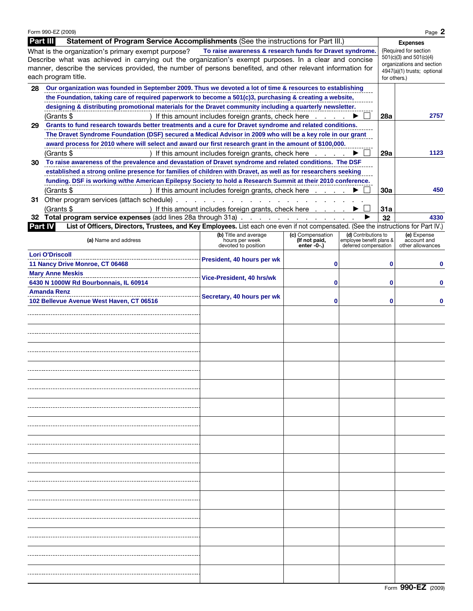|          | Form 990-EZ (2009)                                                                                                                                          |                                                      |                                 |                                                   |                             | Page 2                                      |  |  |
|----------|-------------------------------------------------------------------------------------------------------------------------------------------------------------|------------------------------------------------------|---------------------------------|---------------------------------------------------|-----------------------------|---------------------------------------------|--|--|
| Part III | Statement of Program Service Accomplishments (See the instructions for Part III.)                                                                           |                                                      |                                 |                                                   |                             | <b>Expenses</b>                             |  |  |
|          | (Required for section                                                                                                                                       |                                                      |                                 |                                                   |                             |                                             |  |  |
|          | What is the organization's primary exempt purpose?<br>Describe what was achieved in carrying out the organization's exempt purposes. In a clear and concise |                                                      |                                 |                                                   | $501(c)(3)$ and $501(c)(4)$ |                                             |  |  |
|          | manner, describe the services provided, the number of persons benefited, and other relevant information for                                                 |                                                      |                                 |                                                   | organizations and section   |                                             |  |  |
|          | each program title.                                                                                                                                         |                                                      |                                 |                                                   |                             | 4947(a)(1) trusts; optional<br>for others.) |  |  |
|          |                                                                                                                                                             |                                                      |                                 |                                                   |                             |                                             |  |  |
| 28       | Our organization was founded in September 2009. Thus we devoted a lot of time & resources to establishing                                                   |                                                      |                                 |                                                   |                             |                                             |  |  |
|          | the Foundation, taking care of required paperwork to become a 501(c)3, purchasing & creating a website,                                                     |                                                      |                                 |                                                   |                             |                                             |  |  |
|          | designing & distributing promotional materials for the Dravet community including a quarterly newsletter.                                                   |                                                      |                                 |                                                   |                             |                                             |  |  |
|          | (Grants \$                                                                                                                                                  | If this amount includes foreign grants, check here   |                                 |                                                   | 28a                         | 2757                                        |  |  |
| 29       | Grants to fund research towards better treatments and a cure for Dravet syndrome and related conditions.                                                    |                                                      |                                 |                                                   |                             |                                             |  |  |
|          | The Dravet Syndrome Foundation (DSF) secured a Medical Advisor in 2009 who will be a key role in our grant                                                  |                                                      |                                 |                                                   |                             |                                             |  |  |
|          | award process for 2010 where will select and award our first research grant in the amount of \$100,000.                                                     |                                                      |                                 |                                                   |                             |                                             |  |  |
|          | If this amount includes foreign grants, check here<br>(Grants \$                                                                                            | 29a                                                  | 1123                            |                                                   |                             |                                             |  |  |
| 30.      | To raise awareness of the prevalence and devastation of Dravet syndrome and related conditions. The DSF                                                     |                                                      |                                 |                                                   |                             |                                             |  |  |
|          | established a strong online presence for families of children with Dravet, as well as for researchers seeking                                               |                                                      |                                 |                                                   |                             |                                             |  |  |
|          |                                                                                                                                                             |                                                      |                                 |                                                   |                             |                                             |  |  |
|          | funding. DSF is working w/the American Epilepsy Society to hold a Research Summit at their 2010 conference.                                                 |                                                      |                                 |                                                   |                             |                                             |  |  |
|          | (Grants \$                                                                                                                                                  | If this amount includes foreign grants, check here   |                                 |                                                   | 30a                         | 450                                         |  |  |
|          | 31 Other program services (attach schedule).                                                                                                                |                                                      |                                 |                                                   |                             |                                             |  |  |
|          | (Grants \$                                                                                                                                                  | ) If this amount includes foreign grants, check here |                                 |                                                   | 31a                         |                                             |  |  |
|          | 32 Total program service expenses (add lines 28a through 31a)                                                                                               |                                                      |                                 |                                                   | 32                          | 4330                                        |  |  |
| Part IV  | List of Officers, Directors, Trustees, and Key Employees. List each one even if not compensated. (See the instructions for Part IV.)                        |                                                      |                                 |                                                   |                             |                                             |  |  |
|          |                                                                                                                                                             | (b) Title and average                                | (c) Compensation                | (d) Contributions to                              |                             | (e) Expense                                 |  |  |
|          | (a) Name and address                                                                                                                                        | hours per week<br>devoted to position                | (If not paid,<br>enter $-0$ -.) | employee benefit plans &<br>deferred compensation |                             | account and<br>other allowances             |  |  |
|          | <b>Lori O'Driscoll</b>                                                                                                                                      |                                                      |                                 |                                                   |                             |                                             |  |  |
|          | 11 Nancy Drive Monroe, CT 06468                                                                                                                             | President, 40 hours per wk                           | 0                               |                                                   | 0                           |                                             |  |  |
|          | <b>Mary Anne Meskis</b>                                                                                                                                     |                                                      |                                 |                                                   |                             |                                             |  |  |
|          |                                                                                                                                                             | Vice-President, 40 hrs/wk                            |                                 |                                                   |                             |                                             |  |  |
|          | 6430 N 1000W Rd Bourbonnais, IL 60914                                                                                                                       |                                                      | 0                               |                                                   | 0                           |                                             |  |  |
|          | <b>Amanda Renz</b>                                                                                                                                          | Secretary, 40 hours per wk                           |                                 |                                                   |                             |                                             |  |  |
|          | 102 Bellevue Avenue West Haven, CT 06516                                                                                                                    |                                                      | 0                               |                                                   | 0                           |                                             |  |  |
|          |                                                                                                                                                             |                                                      |                                 |                                                   |                             |                                             |  |  |
|          |                                                                                                                                                             |                                                      |                                 |                                                   |                             |                                             |  |  |
|          |                                                                                                                                                             |                                                      |                                 |                                                   |                             |                                             |  |  |
|          |                                                                                                                                                             |                                                      |                                 |                                                   |                             |                                             |  |  |
|          |                                                                                                                                                             |                                                      |                                 |                                                   |                             |                                             |  |  |
|          |                                                                                                                                                             |                                                      |                                 |                                                   |                             |                                             |  |  |
|          |                                                                                                                                                             |                                                      |                                 |                                                   |                             |                                             |  |  |
|          |                                                                                                                                                             |                                                      |                                 |                                                   |                             |                                             |  |  |
|          |                                                                                                                                                             |                                                      |                                 |                                                   |                             |                                             |  |  |
|          |                                                                                                                                                             |                                                      |                                 |                                                   |                             |                                             |  |  |
|          |                                                                                                                                                             |                                                      |                                 |                                                   |                             |                                             |  |  |
|          |                                                                                                                                                             |                                                      |                                 |                                                   |                             |                                             |  |  |
|          |                                                                                                                                                             |                                                      |                                 |                                                   |                             |                                             |  |  |
|          |                                                                                                                                                             |                                                      |                                 |                                                   |                             |                                             |  |  |
|          |                                                                                                                                                             |                                                      |                                 |                                                   |                             |                                             |  |  |
|          |                                                                                                                                                             |                                                      |                                 |                                                   |                             |                                             |  |  |
|          |                                                                                                                                                             |                                                      |                                 |                                                   |                             |                                             |  |  |
|          |                                                                                                                                                             |                                                      |                                 |                                                   |                             |                                             |  |  |
|          |                                                                                                                                                             |                                                      |                                 |                                                   |                             |                                             |  |  |
|          |                                                                                                                                                             |                                                      |                                 |                                                   |                             |                                             |  |  |
|          |                                                                                                                                                             |                                                      |                                 |                                                   |                             |                                             |  |  |
|          |                                                                                                                                                             |                                                      |                                 |                                                   |                             |                                             |  |  |
|          |                                                                                                                                                             |                                                      |                                 |                                                   |                             |                                             |  |  |
|          |                                                                                                                                                             |                                                      |                                 |                                                   |                             |                                             |  |  |
|          |                                                                                                                                                             |                                                      |                                 |                                                   |                             |                                             |  |  |
|          |                                                                                                                                                             |                                                      |                                 |                                                   |                             |                                             |  |  |
|          |                                                                                                                                                             |                                                      |                                 |                                                   |                             |                                             |  |  |
|          |                                                                                                                                                             |                                                      |                                 |                                                   |                             |                                             |  |  |
|          |                                                                                                                                                             |                                                      |                                 |                                                   |                             |                                             |  |  |
|          |                                                                                                                                                             |                                                      |                                 |                                                   |                             |                                             |  |  |
|          |                                                                                                                                                             |                                                      |                                 |                                                   |                             |                                             |  |  |
|          |                                                                                                                                                             |                                                      |                                 |                                                   |                             |                                             |  |  |
|          |                                                                                                                                                             |                                                      |                                 |                                                   |                             |                                             |  |  |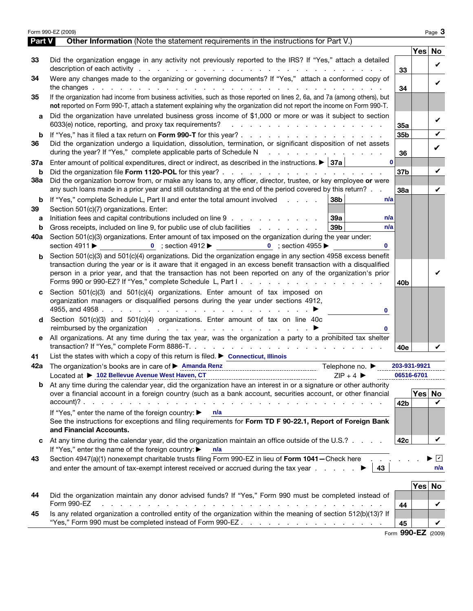|        | Form 990-EZ (2009)                                                                                                                                                                                                                                                                                                                           |                 |        | Page 3                 |
|--------|----------------------------------------------------------------------------------------------------------------------------------------------------------------------------------------------------------------------------------------------------------------------------------------------------------------------------------------------|-----------------|--------|------------------------|
| Part V | <b>Other Information</b> (Note the statement requirements in the instructions for Part V.)                                                                                                                                                                                                                                                   |                 |        |                        |
|        |                                                                                                                                                                                                                                                                                                                                              |                 | Yes No |                        |
| 33     | Did the organization engage in any activity not previously reported to the IRS? If "Yes," attach a detailed<br>description of each activity respectively and the contract of the contract of the contract of the contract of the contract of the contract of the contract of the contract of the contract of the contract of the contract of | 33              |        | V                      |
| 34     | Were any changes made to the organizing or governing documents? If "Yes," attach a conformed copy of                                                                                                                                                                                                                                         | 34              |        | ✓                      |
| 35     | If the organization had income from business activities, such as those reported on lines 2, 6a, and 7a (among others), but<br>not reported on Form 990-T, attach a statement explaining why the organization did not report the income on Form 990-T.                                                                                        |                 |        |                        |
| a      | Did the organization have unrelated business gross income of \$1,000 or more or was it subject to section<br>6033(e) notice, reporting, and proxy tax requirements?<br>and the contract of the contract of the contract of the con-                                                                                                          |                 |        | ✓                      |
| b      |                                                                                                                                                                                                                                                                                                                                              | 35a<br>35b      |        | V                      |
| 36     | Did the organization undergo a liquidation, dissolution, termination, or significant disposition of net assets<br>during the year? If "Yes," complete applicable parts of Schedule N<br>the contract of the contract of the contract                                                                                                         | 36              |        | V                      |
| 37a    | $\mathbf{0}$<br>Enter amount of political expenditures, direct or indirect, as described in the instructions. $\blacktriangleright$ 37a                                                                                                                                                                                                      |                 |        |                        |
| b      |                                                                                                                                                                                                                                                                                                                                              | 37 <sub>b</sub> |        | V                      |
| 38a    | Did the organization borrow from, or make any loans to, any officer, director, trustee, or key employee or were<br>any such loans made in a prior year and still outstanding at the end of the period covered by this return?                                                                                                                | 38a             |        | V                      |
| b      | If "Yes," complete Schedule L, Part II and enter the total amount involved<br>38b<br>n/a                                                                                                                                                                                                                                                     |                 |        |                        |
| 39     | Section 501(c)(7) organizations. Enter:                                                                                                                                                                                                                                                                                                      |                 |        |                        |
| a      | Initiation fees and capital contributions included on line 9<br>39a<br>n/a                                                                                                                                                                                                                                                                   |                 |        |                        |
| b      | 39 <sub>b</sub><br>Gross receipts, included on line 9, for public use of club facilities<br>n/a                                                                                                                                                                                                                                              |                 |        |                        |
| 40a    | Section 501(c)(3) organizations. Enter amount of tax imposed on the organization during the year under:<br>0 ; section 4912 $\blacktriangleright$ 0 ; section 4955 $\blacktriangleright$<br>section 4911 $\blacktriangleright$<br>$\mathbf{0}$                                                                                               |                 |        |                        |
| b      | Section 501(c)(3) and 501(c)(4) organizations. Did the organization engage in any section 4958 excess benefit                                                                                                                                                                                                                                |                 |        |                        |
|        | transaction during the year or is it aware that it engaged in an excess benefit transaction with a disqualified<br>person in a prior year, and that the transaction has not been reported on any of the organization's prior                                                                                                                 | 40b             |        |                        |
| c      | Section 501(c)(3) and 501(c)(4) organizations. Enter amount of tax imposed on                                                                                                                                                                                                                                                                |                 |        |                        |
|        | organization managers or disqualified persons during the year under sections 4912,<br>4955, and 4958 $\cdots$ $\cdots$ $\cdots$ $\cdots$ $\cdots$ $\cdots$ $\cdots$ $\cdots$<br>$\mathbf{0}$                                                                                                                                                 |                 |        |                        |
| d      | Section 501(c)(3) and 501(c)(4) organizations. Enter amount of tax on line 40c<br>reimbursed by the organization $\qquad \qquad \ldots \qquad \qquad \ldots$<br>0                                                                                                                                                                            |                 |        |                        |
| е      | All organizations. At any time during the tax year, was the organization a party to a prohibited tax shelter                                                                                                                                                                                                                                 | 40e             |        |                        |
| 41     | List the states with which a copy of this return is filed. $\triangleright$ Connecticut, Illinois                                                                                                                                                                                                                                            |                 |        |                        |
| 42a    | The organization's books are in care of > Amanda Renz<br>Telephone no. $\blacktriangleright$                                                                                                                                                                                                                                                 | 203-931-9921    |        |                        |
|        | Located at ▶ 102 Bellevue Avenue West Haven, CT<br>$ZIP + 4$                                                                                                                                                                                                                                                                                 | 06516-6701      |        |                        |
| b      | At any time during the calendar year, did the organization have an interest in or a signature or other authority                                                                                                                                                                                                                             |                 |        |                        |
|        | over a financial account in a foreign country (such as a bank account, securities account, or other financial                                                                                                                                                                                                                                |                 | Yes No |                        |
|        |                                                                                                                                                                                                                                                                                                                                              | 42 <sub>b</sub> |        | V                      |
|        | If "Yes," enter the name of the foreign country: ▶ n/a                                                                                                                                                                                                                                                                                       |                 |        |                        |
|        | See the instructions for exceptions and filing requirements for Form TD F 90-22.1, Report of Foreign Bank<br>and Financial Accounts.                                                                                                                                                                                                         |                 |        |                        |
| c      | At any time during the calendar year, did the organization maintain an office outside of the U.S.?<br>If "Yes," enter the name of the foreign country: ▶<br>n/a                                                                                                                                                                              | 42c             |        | V                      |
| 43     | Section 4947(a)(1) nonexempt charitable trusts filing Form 990-EZ in lieu of Form 1041-Check here                                                                                                                                                                                                                                            |                 |        | $\vert\mathbf{v}\vert$ |
|        | and enter the amount of tax-exempt interest received or accrued during the tax year $\ldots$<br>43                                                                                                                                                                                                                                           |                 |        | n/a                    |
|        |                                                                                                                                                                                                                                                                                                                                              |                 | Yes    | No                     |
| 44     | Did the organization maintain any donor advised funds? If "Yes," Form 990 must be completed instead of                                                                                                                                                                                                                                       |                 |        |                        |
|        | Form 990-EZ<br>the contract of the contract of the contract of the contract of the contract of the contract of the contract of                                                                                                                                                                                                               | 44              |        | V                      |
| 45     | Is any related organization a controlled entity of the organization within the meaning of section 512(b)(13)? If                                                                                                                                                                                                                             |                 |        |                        |
|        |                                                                                                                                                                                                                                                                                                                                              | 45              |        | V                      |
|        |                                                                                                                                                                                                                                                                                                                                              | <b>000</b>      |        |                        |

Form **990-EZ** (2009)